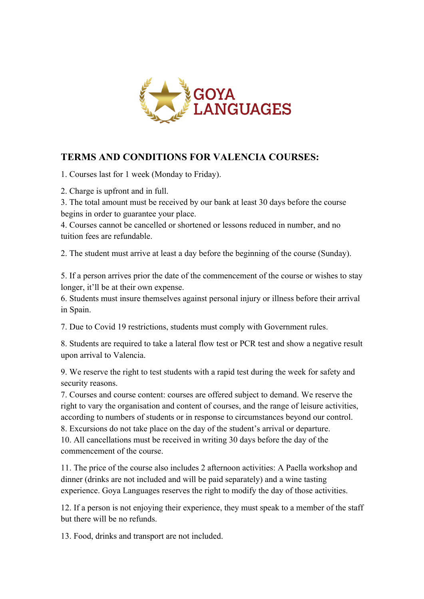

### **TERMS AND CONDITIONS FOR VALENCIA COURSES:**

1. Courses last for 1 week (Monday to Friday).

2. Charge is upfront and in full.

3. The total amount must be received by our bank at least 30 days before the course begins in order to guarantee your place.

4. Courses cannot be cancelled or shortened or lessons reduced in number, and no tuition fees are refundable.

2. The student must arrive at least a day before the beginning of the course (Sunday).

5. If a person arrives prior the date of the commencement of the course or wishes to stay longer, it'll be at their own expense.

6. Students must insure themselves against personal injury or illness before their arrival in Spain.

7. Due to Covid 19 restrictions, students must comply with Government rules.

8. Students are required to take a lateral flow test or PCR test and show a negative result upon arrival to Valencia.

9. We reserve the right to test students with a rapid test during the week for safety and security reasons.

7. Courses and course content: courses are offered subject to demand. We reserve the right to vary the organisation and content of courses, and the range of leisure activities, according to numbers of students or in response to circumstances beyond our control. 8. Excursions do not take place on the day of the student's arrival or departure. 10. All cancellations must be received in writing 30 days before the day of the commencement of the course.

11. The price of the course also includes 2 afternoon activities: A Paella workshop and dinner (drinks are not included and will be paid separately) and a wine tasting experience. Goya Languages reserves the right to modify the day of those activities.

12. If a person is not enjoying their experience, they must speak to a member of the staff but there will be no refunds.

13. Food, drinks and transport are not included.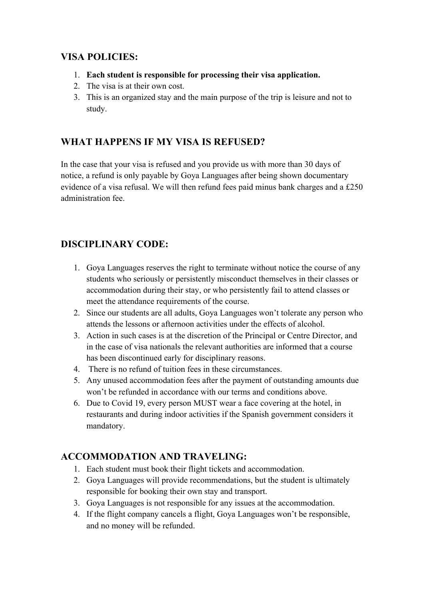### **VISA POLICIES:**

- 1. **Each student is responsible for processing their visa application.**
- 2. The visa is at their own cost.
- 3. This is an organized stay and the main purpose of the trip is leisure and not to study.

# **WHAT HAPPENS IF MY VISA IS REFUSED?**

In the case that your visa is refused and you provide us with more than 30 days of notice, a refund is only payable by Goya Languages after being shown documentary evidence of a visa refusal. We will then refund fees paid minus bank charges and a £250 administration fee.

# **DISCIPLINARY CODE:**

- 1. Goya Languages reserves the right to terminate without notice the course of any students who seriously or persistently misconduct themselves in their classes or accommodation during their stay, or who persistently fail to attend classes or meet the attendance requirements of the course.
- 2. Since our students are all adults, Goya Languages won't tolerate any person who attends the lessons or afternoon activities under the effects of alcohol.
- 3. Action in such cases is at the discretion of the Principal or Centre Director, and in the case of visa nationals the relevant authorities are informed that a course has been discontinued early for disciplinary reasons.
- 4. There is no refund of tuition fees in these circumstances.
- 5. Any unused accommodation fees after the payment of outstanding amounts due won't be refunded in accordance with our terms and conditions above.
- 6. Due to Covid 19, every person MUST wear a face covering at the hotel, in restaurants and during indoor activities if the Spanish government considers it mandatory.

## **ACCOMMODATION AND TRAVELING:**

- 1. Each student must book their flight tickets and accommodation.
- 2. Goya Languages will provide recommendations, but the student is ultimately responsible for booking their own stay and transport.
- 3. Goya Languages is not responsible for any issues at the accommodation.
- 4. If the flight company cancels a flight, Goya Languages won't be responsible, and no money will be refunded.